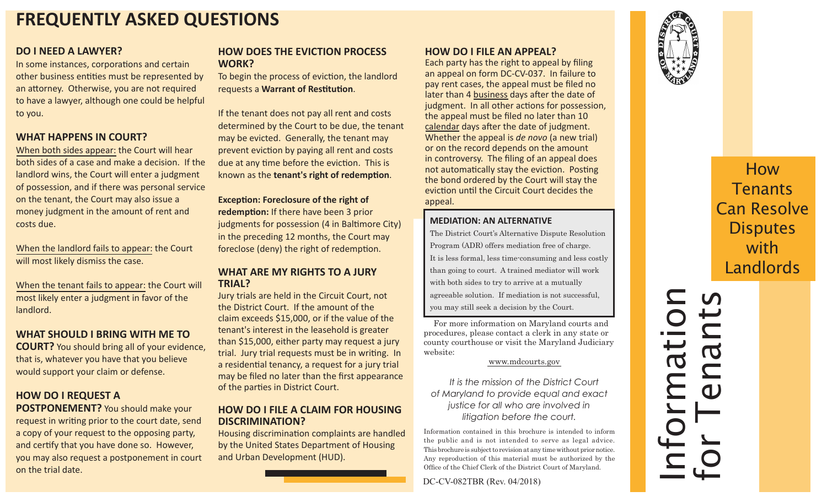# **FREQUENTLY ASKED QUESTIONS**

#### **DO I NEED A LAWYER?**

In some instances, corporations and certain other business entities must be represented by an attorney. Otherwise, you are not required to have a lawyer, although one could be helpful to you.

#### **WHAT HAPPENS IN COURT?**

When both sides appear: the Court will hear both sides of a case and make a decision. If the landlord wins, the Court will enter a judgment of possession, and if there was personal service on the tenant, the Court may also issue a money judgment in the amount of rent and costs due.

When the landlord fails to appear: the Court will most likely dismiss the case.

When the tenant fails to appear: the Court will most likely enter a judgment in favor of the landlord.

#### **WHAT SHOULD I BRING WITH ME TO**

**COURT?** You should bring all of your evidence, that is, whatever you have that you believe would support your claim or defense.

### **HOW DO I REQUEST A**

**POSTPONEMENT?** You should make your request in writing prior to the court date, send a copy of your request to the opposing party, and certify that you have done so. However, you may also request a postponement in court on the trial date.

#### **HOW DOES THE EVICTION PROCESS WORK?**

To begin the process of eviction, the landlord requests a **Warrant of Restitution**.

If the tenant does not pay all rent and costs determined by the Court to be due, the tenant may be evicted. Generally, the tenant may prevent eviction by paying all rent and costs due at any time before the eviction. This is known as the **tenant's right of redemption**.

**Exception: Foreclosure of the right of redemption:** If there have been 3 prior judgments for possession (4 in Baltimore City) in the preceding 12 months, the Court may foreclose (deny) the right of redemption.

#### **WHAT ARE MY RIGHTS TO A JURY TRIAL?**

Jury trials are held in the Circuit Court, not the District Court. If the amount of the claim exceeds \$15,000, or if the value of the tenant's interest in the leasehold is greater than \$15,000, either party may request a jury trial. Jury trial requests must be in writing. In a residential tenancy, a request for a jury trial may be filed no later than the first appearance of the parties in District Court.

#### **HOW DO I FILE A CLAIM FOR HOUSING DISCRIMINATION?**

Housing discrimination complaints are handled by the United States Department of Housing and Urban Development (HUD).

#### **HOW DO I FILE AN APPEAL?**

Each party has the right to appeal by filing an appeal on form DC-CV-037. In failure to pay rent cases, the appeal must be filed no later than 4 business days after the date of judgment. In all other actions for possession, the appeal must be filed no later than 10 calendar days after the date of judgment. Whether the appeal is *de novo* (a new trial) or on the record depends on the amount in controversy. The filing of an appeal does not automatically stay the eviction. Posting the bond ordered by the Court will stay the eviction until the Circuit Court decides the appeal.

#### **MEDIATION: AN ALTERNATIVE**

The District Court's Alternative Dispute Resolution Program (ADR) offers mediation free of charge. It is less formal, less time-consuming and less costly than going to court. A trained mediator will work with both sides to try to arrive at a mutually agreeable solution. If mediation is not successful, you may still seek a decision by the Court.

For more information on Maryland courts and procedures, please contact a clerk in any state or county courthouse or visit the Maryland Judiciary website:

#### www.mdcourts.gov

*It is the mission of the District Court of Maryland to provide equal and exact justice for all who are involved in litigation before the court.* 

Information contained in this brochure is intended to inform the public and is not intended to serve as legal advice. This brochure is subject to revision at any time without prior notice. Any reproduction of this material must be authorized by the Office of the Chief Clerk of the District Court of Maryland.

DC-CV-082TBR (Rev. 04/2018)



# How Tenants Can Resolve **Disputes** with Landlords

for Tenants Information <u>に い</u> nation<br>nant:  $\overline{\mathbf{U}}$ **NO**